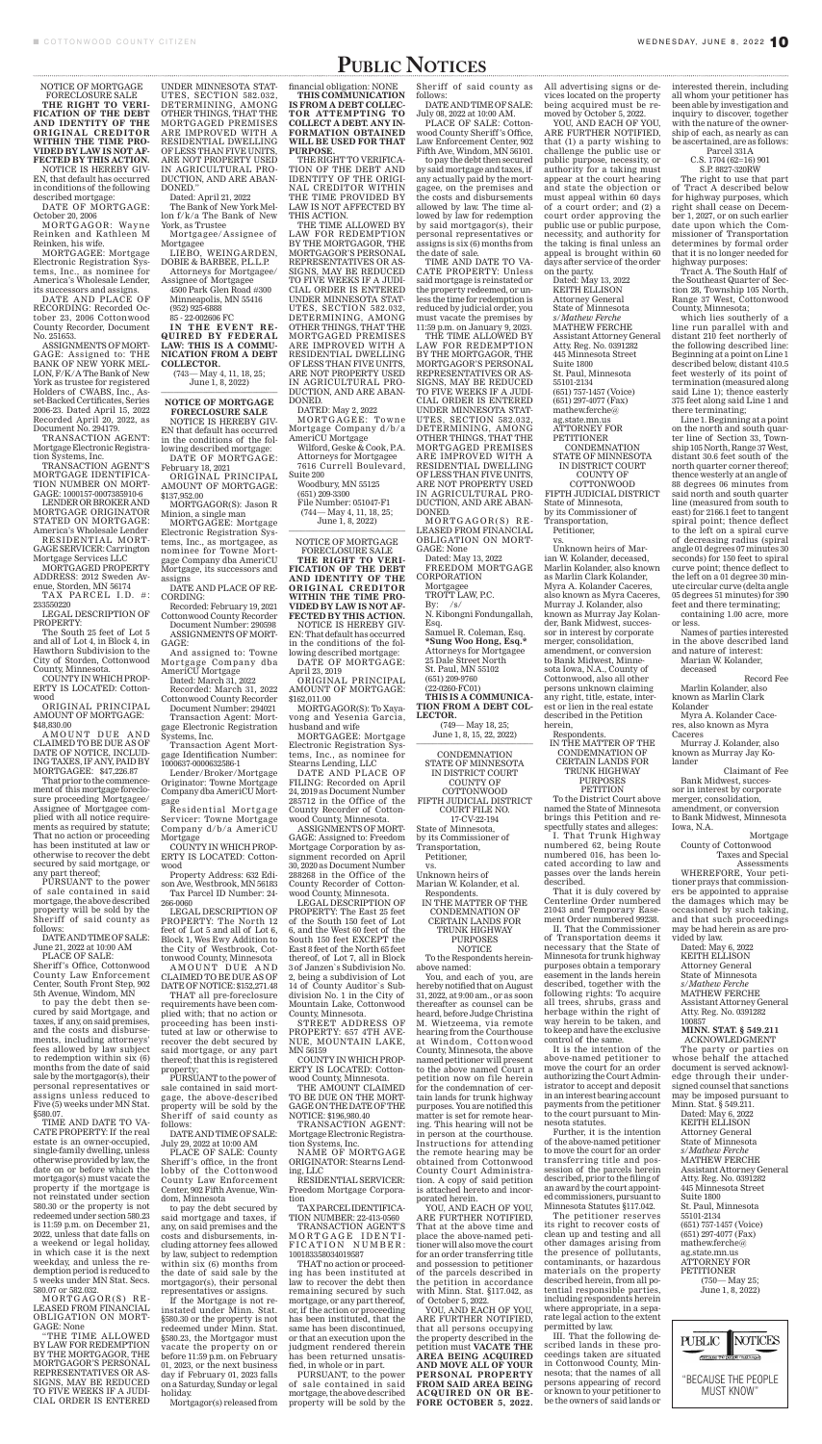NOTICE OF MORTGAGE FORECLOSURE SALE

in conditions of the following described mortgage: DATE OF MORTGAGE:

**THE RIGHT TO VERI-FICATION OF THE DEBT AND IDENTITY OF THE ORIGINAL CREDITOR WITHIN THE TIME PRO-VIDED BY LAW IS NOT AF-FECTED BY THIS ACTION.** NOTICE IS HEREBY GIV-EN, that default has occurred

October 20, 2006

MORTGAGOR: Wayne Reinken and Kathleen M Reinken, his wife.

MORTGAGEE: Mortgage Electronic Registration Systems, Inc., as nominee for America's Wholesale Lender, its successors and assigns.

DATE AND PLACE OF RECORDING: Recorded October 23, 2006 Cottonwood County Recorder, Document No. 251653.

TAX PARCEL I.D. #: 233550220

ASSIGNMENTS OF MORT-GAGE: Assigned to: THE BANK OF NEW YORK MEL-LON, F/K/A The Bank of New York as trustee for registered Holders of CWABS, Inc., Asset-Backed Certificates, Series 2006-23. Dated April 15, 2022 Recorded April 20, 2022, as Document No. 294179.

AMOUNT DUE AND CLAIMED TO BE DUE AS OF DATE OF NOTICE, INCLUD-ING TAXES, IF ANY, PAID BY MORTGAGEE: \$47,226.87

TRANSACTION AGENT: Mortgage Electronic Registration Systems, Inc.

TRANSACTION AGENT'S MORTGAGE IDENTIFICA-TION NUMBER ON MORT-GAGE: 1000157-0007385910-6

LENDER OR BROKER AND MORTGAGE ORIGINATOR STATED ON MORTGAGE: America's Wholesale Lender RESIDENTIAL MORT-

GAGE SERVICER: Carrington Mortgage Services LLC MORTGAGED PROPERTY

ADDRESS: 2012 Sweden Avenue, Storden, MN 56174

LEGAL DESCRIPTION OF PROPERTY:

The South 25 feet of Lot 5 and all of Lot 4, in Block 4, in Hawthorn Subdivision to the City of Storden, Cottonwood County, Minnesota.

COUNTY IN WHICH PROP-ERTY IS LOCATED: Cottonwood

ORIGINAL PRINCIPAL AMOUNT OF MORTGAGE: \$48,830.00

That prior to the commencement of this mortgage foreclosure proceeding Mortgagee/ Assignee of Mortgagee complied with all notice requirements as required by statute; That no action or proceeding has been instituted at law or otherwise to recover the debt secured by said mortgage, or any part thereof; PURSUANT to the power of sale contained in said mortgage, the above described property will be sold by the Sheriff of said county as follows:

(743— May 4, 11, 18, 25; June 1, 8, 2022)

DATE AND TIME OF SALE: June 21, 2022 at 10:00 AM PLACE OF SALE:

Sheriff 's Office, Cottonwood County Law Enforcement Center, South Front Step, 902 5th Avenue, Windom, MN

to pay the debt then secured by said Mortgage, and taxes, if any, on said premises, and the costs and disbursements, including attorneys' fees allowed by law subject to redemption within six (6) months from the date of said sale by the mortgagor(s), their personal representatives or assigns unless reduced to Five (5) weeks under MN Stat. §580.07.

Residential Mortgage Servicer: Towne Mortgage Company d/b/a AmeriCU Mortgage COUNTY IN WHICH PROP-ERTY IS LOCATED: Cottonwood

# PUBLIC NOTICES

AMOUNT DUE AND CLAIMED TO BE DUE AS OF DATE OF NOTICE: \$152,271.48 THAT all pre-foreclosure

TIME AND DATE TO VA-CATE PROPERTY: If the real estate is an owner-occupied, single-family dwelling, unless otherwise provided by law, the date on or before which the mortgagor(s) must vacate the property if the mortgage is not reinstated under section 580.30 or the property is not redeemed under section 580.23 is 11:59 p.m. on December 21, 2022, unless that date falls on a weekend or legal holiday, in which case it is the next weekday, and unless the redemption period is reduced to 5 weeks under MN Stat. Secs. 580.07 or 582.032.

MORTGAGOR(S) RE - LEASED FROM FINANCIAL OBLIGATION ON MORT-GAGE: None

"THE TIME ALLOWED BY LAW FOR REDEMPTION BY THE MORTGAGOR, THE MORTGAGOR'S PERSONAL REPRESENTATIVES OR AS-SIGNS, MAY BE REDUCED TO FIVE WEEKS IF A JUDI-CIAL ORDER IS ENTERED

UNDER MINNESOTA STAT-UTES, SECTION 582.032, DETERMINING, AMONG OTHER THINGS, THAT THE MORTGAGED PREMISES ARE IMPROVED WITH A RESIDENTIAL DWELLING OF LESS THAN FIVE UNITS, ARE NOT PROPERTY USED IN AGRICULTURAL PRO-DUCTION, AND ARE ABAN-DONED."

Dated: April 21, 2022

MORTGAGEE: Towne Mortgage Company d/b/a AmeriCU Mortgage

The Bank of New York Mellon f/k/a The Bank of New York, as Trustee

> Woodbury, MN 55125 (651) 209-3300 File Number: 051047-F1 (744— May 4, 11, 18, 25; June 1, 8, 2022)

Mortgagee/Assignee of Mortgagee

LIEBO, WEINGARDEN, DOBIE & BARBEE, P.L.L.P.

Attorneys for Mortgagee/ Assignee of Mortgagee

4500 Park Glen Road #300 Minneapolis, MN 55416 (952) 925-6888

85 - 22-002606 FC

**IN THE EVENT RE-QUIRED BY FEDERAL LAW: THIS IS A COMMU-NICATION FROM A DEBT COLLECTOR.**

#### **NOTICE OF MORTGAGE FORECLOSURE SALE**

NOTICE IS HEREBY GIV-EN that default has occurred in the conditions of the following described mortgage: DATE OF MORTGAGE:

February 18, 2021

ORIGINAL PRINCIPAL AMOUNT OF MORTGAGE: \$137,952.00 MORTGAGOR(S): Jason R

Minion, a single man

MORTGAGEE: Mortgage Electronic Registration Systems, Inc., as mortgagee, as nominee for Towne Mortgage Company dba AmeriCU Mortgage, its successors and assigns

DATE AND PLACE OF RE-CORDING:

Recorded: February 19, 2021 Cottonwood County Recorder Document Number: 290598

ASSIGNMENTS OF MORT-GAGE:

And assigned to: Towne Mortgage Company dba AmeriCU Mortgage

Dated: March 31, 2022

Recorded: March 31, 2022 Cottonwood County Recorder

Document Number: 294021 Transaction Agent: Mortgage Electronic Registration Systems, Inc.

Transaction Agent Mortgage Identification Number: 1000637-0000632586-1

Lender/Broker/Mortgage Originator: Towne Mortgage Company dba AmeriCU Mortgage

Property Address: 632 Edison Ave, Westbrook, MN 56183 Tax Parcel ID Number: 24- 266-0060

LEGAL DESCRIPTION OF PROPERTY: The North 12 feet of Lot 5 and all of Lot 6, Block 1, Wes Ewy Addition to the City of Westbrook, Cottonwood County, Minnesota

requirements have been complied with; that no action or proceeding has been instituted at law or otherwise to recover the debt secured by said mortgage, or any part thereof; that this is registered property;

(749— May 18, 25; June 1, 8, 15, 22, 2022)

PURSUANT to the power of sale contained in said mortgage, the above-described property will be sold by the Sheriff of said county as follows:

DATE AND TIME OF SALE: July 29, 2022 at 10:00 AM

PLACE OF SALE: County Sheriff 's office, in the front lobby of the Cottonwood County Law Enforcement Center, 902 Fifth Avenue, Windom, Minnesota

to pay the debt secured by said mortgage and taxes, if any, on said premises and the costs and disbursements, including attorney fees allowed by law, subject to redemption within six (6) months from the date of said sale by the mortgagor(s), their personal representatives or assigns.

If the Mortgage is not reinstated under Minn. Stat. §580.30 or the property is not redeemed under Minn. Stat. §580.23, the Mortgagor must vacate the property on or before 11:59 p.m. on February 01, 2023, or the next business day if February 01, 2023 falls on a Saturday, Sunday or legal holiday.

Mortgagor(s) released from

financial obligation: NONE **THIS COMMUNICATION IS FROM A DEBT COLLEC-TOR ATTEMPTING TO COLLECT A DEBT. ANY IN-FORMATION OBTAINED WILL BE USED FOR THAT PURPOSE.** 

THE RIGHT TO VERIFICA-TION OF THE DEBT AND IDENTITY OF THE ORIGI-NAL CREDITOR WITHIN THE TIME PROVIDED BY LAW IS NOT AFFECTED BY THIS ACTION.

THE TIME ALLOWED BY LAW FOR REDEMPTION BY THE MORTGAGOR, THE MORTGAGOR'S PERSONAL REPRESENTATIVES OR AS-SIGNS, MAY BE REDUCED TO FIVE WEEKS IF A JUDI-CIAL ORDER IS ENTERED UNDER MINNESOTA STAT-UTES, SECTION 582.032, DETERMINING, AMONG OTHER THINGS, THAT THE MORTGAGED PREMISES ARE IMPROVED WITH A RESIDENTIAL DWELLING OF LESS THAN FIVE UNITS, ARE NOT PROPERTY USED IN AGRICULTURAL PRO-DUCTION, AND ARE ABAN-DONED.

> IN THE MATTER OF THE CONDEMNATION OF CERTAIN LANDS FOR TRUNK HIGHWAY PURPOSES **PETITION**

DATED: May 2, 2022

Wilford, Geske & Cook, P.A. Attorneys for Mortgagee 7616 Currell Boulevard, Suite 200

NOTICE OF MORTGAGE FORECLOSURE SALE **THE RIGHT TO VERI-FICATION OF THE DEBT AND IDENTITY OF THE ORIGINAL CREDITOR WITHIN THE TIME PRO-VIDED BY LAW IS NOT AF-FECTED BY THIS ACTION.** NOTICE IS HEREBY GIV-EN: That default has occurred in the conditions of the following described mortgage: DATE OF MORTGAGE:

April 23, 2019 ORIGINAL PRINCIPAL AMOUNT OF MORTGAGE:

\$162,011.00 MORTGAGOR(S): To Xayavong and Yesenia Garcia,

husband and wife MORTGAGEE: Mortgage Electronic Registration Systems, Inc., as nominee for

Stearns Lending, LLC DATE AND PLACE OF FILING: Recorded on April 24, 2019 as Document Number 285712 in the Office of the County Recorder of Cottonwood County, Minnesota.

ASSIGNMENTS OF MORT-

GAGE: Assigned to: Freedom Mortgage Corporation by assignment recorded on April 30, 2020 as Document Number 288268 in the Office of the County Recorder of Cottonwood County, Minnesota.

LEGAL DESCRIPTION OF PROPERTY: The East 25 feet of the South 150 feet of Lot 6, and the West 60 feet of the South 150 feet EXCEPT the East 8 feet of the North 65 feet thereof, of Lot 7, all in Block 3 of Janzen`s Subdivision No. 2, being a subdivision of Lot 14 of County Auditor`s Subdivision No. 1 in the City of Mountain Lake, Cottonwood County, Minnesota.

STREET ADDRESS OF PROPERTY: 657 4TH AVE-NUE, MOUNTAIN LAKE, MN 56159

COUNTY IN WHICH PROP-ERTY IS LOCATED: Cottonwood County, Minnesota.

THE AMOUNT CLAIMED TO BE DUE ON THE MORT-GAGE ON THE DATE OF THE NOTICE: \$196,980.40

TRANSACTION AGENT: Mortgage Electronic Registration Systems, Inc.

NAME OF MORTGAGE ORIGINATOR: Stearns Lending, LLC

RESIDENTIAL SERVICER: Freedom Mortgage Corporation

TAX PARCEL IDENTIFICA-TION NUMBER: 22-413-0560

TRANSACTION AGENT'S MORTGAGE IDENTI-FICATION NUMBER: 100183358034019587

THAT no action or proceeding has been instituted at law to recover the debt then remaining secured by such mortgage, or any part thereof, or, if the action or proceeding has been instituted, that the same has been discontinued, or that an execution upon the judgment rendered therein has been returned unsatisfied, in whole or in part.

PURSUANT, to the power of sale contained in said mortgage, the above described property will be sold by the follows:

DATE AND TIME OF SALE: July 08, 2022 at 10:00 AM.

PLACE OF SALE: Cottonwood County Sheriff 's Office, Law Enforcement Center, 902 Fifth Ave, Windom, MN 56101.

to pay the debt then secured by said mortgage and taxes, if any actually paid by the mortgagee, on the premises and the costs and disbursements allowed by law. The time allowed by law for redemption by said mortgagor(s), their personal representatives or assigns is six (6) months from the date of sale.

TIME AND DATE TO VA-CATE PROPERTY: Unless said mortgage is reinstated or the property redeemed, or unless the time for redemption is reduced by judicial order, you must vacate the premises by 11:59 p.m. on January 9, 2023.

THE TIME ALLOWED BY LAW FOR REDEMPTION BY THE MORTGAGOR, THE MORTGAGOR'S PERSONAL REPRESENTATIVES OR AS-SIGNS, MAY BE REDUCED TO FIVE WEEKS IF A JUDI-CIAL ORDER IS ENTERED UNDER MINNESOTA STAT-UTES, SECTION 582.032, DETERMINING, AMONG OTHER THINGS, THAT THE MORTGAGED PREMISES ARE IMPROVED WITH A RESIDENTIAL DWELLING OF LESS THAN FIVE UNITS, ARE NOT PROPERTY USED IN AGRICULTURAL PRO-DUCTION, AND ARE ABAN-DONED.

MORTGAGOR(S) RE - LEASED FROM FINANCIAL OBLIGATION ON MORT-GAGE: None Dated: May 13, 2022 FREEDOM MORTGAGE CORPORATION Mortgagee TROTT LAW, P.C. By:  $/s/$ N. Kibongni Fondungallah, Esq. Samuel R. Coleman, Esq. **\*Sung Woo Hong, Esq.\*** Attorneys for Mortgagee 25 Dale Street North St. Paul, MN 55102

(651) 209-9760 (22-0260-FC01) **THIS IS A COMMUNICA-TION FROM A DEBT COL-LECTOR.**

CONDEMNATION STATE OF MINNESOTA IN DISTRICT COURT COUNTY OF COTTONWOOD FIFTH JUDICIAL DISTRICT COURT FILE NO. 17-CV-22-194

Sheriff of said county as All advertising signs or devices located on the property being acquired must be removed by October 5, 2022.

State of Minnesota, by its Commissioner of Transportation,

Petitioner, vs.

Unknown heirs of Marian W. Kolander, et al. Respondents.

IN THE MATTER OF THE CONDEMNATION OF CERTAIN LANDS FOR TRUNK HIGHWAY PURPOSES

NOTICE To the Respondents hereinabove named:

You, and each of you, are hereby notified that on August 31, 2022, at 9:00 am., or as soon thereafter as counsel can be heard, before Judge Christina M. Wietzeema, via remote hearing from the Courthouse at Windom, Cottonwood County, Minnesota, the above named petitioner will present to the above named Court a petition now on file herein for the condemnation of certain lands for trunk highway purposes. You are notified this matter is set for remote hearing. This hearing will not be in person at the courthouse. Instructions for attending the remote hearing may be obtained from Cottonwood County Court Administration. A copy of said petition is attached hereto and incorporated herein.

YOU, AND EACH OF YOU, ARE FURTHER NOTIFIED, That at the above time and place the above-named petitioner will also move the court for an order transferring title and possession to petitioner of the parcels described in the petition in accordance with Minn. Stat. §117.042, as of October 5, 2022.

YOU, AND EACH OF YOU, ARE FURTHER NOTIFIED, that all persons occupying the property described in the petition must **VACATE THE AREA BEING ACQUIRED AND MOVE ALL OF YOUR PERSONAL PROPERTY FROM SAID AREA BEING ACQUIRED ON OR BE-FORE OCTOBER 5, 2022.**

YOU, AND EACH OF YOU, ARE FURTHER NOTIFIED, that (1) a party wishing to challenge the public use or public purpose, necessity, or authority for a taking must appear at the court hearing and state the objection or must appeal within 60 days of a court order; and (2) a court order approving the public use or public purpose, necessity, and authority for the taking is final unless an appeal is brought within 60 days after service of the order

on the party. Dated: May 13, 2022 KEITH ELLISON Attorney General State of Minnesota *s/Mathew Ferche* MATHEW FERCHE Assistant Attorney General Atty. Reg. No. 0391282 445 Minnesota Street Suite 1800 St. Paul, Minnesota 55101-2134 (651) 757-1457 (Voice) (651) 297-4077 (Fax) mathew.ferche@ ag.state.mn.us ATTORNEY FOR **PETITIONER** CONDEMNATION STATE OF MINNESOTA IN DISTRICT COURT COUNTY OF COTTONWOOD FIFTH JUDICIAL DISTRICT State of Minnesota, by its Commissioner of Transportation, Petitioner, vs. Unknown heirs of Mar-

ian W. Kolander, deceased, Marlin Kolander, also known as Marlin Clark Kolander, Myra A. Kolander Caceres, also known as Myra Caceres, Murray J. Kolander, also known as Murray Jay Kolander, Bank Midwest, successor in interest by corporate merger, consolidation, amendment, or conversion to Bank Midwest, Minnesota Iowa, N.A., County of Cottonwood, also all other persons unknown claiming any right, title, estate, interest or lien in the real estate described in the Petition herein,

Respondents.

To the District Court above named the State of Minnesota brings this Petition and respectfully states and alleges:

I. That Trunk Highway numbered 62, being Route numbered 016, has been located according to law and passes over the lands herein described.

That it is duly covered by Centerline Order numbered 21043 and Temporary Easement Order numbered 99238.

II. That the Commissioner of Transportation deems it necessary that the State of Minnesota for trunk highway purposes obtain a temporary easement in the lands herein described, together with the following rights: To acquire all trees, shrubs, grass and herbage within the right of way herein to be taken, and to keep and have the exclusive control of the same.

It is the intention of the above-named petitioner to move the court for an order authorizing the Court Administrator to accept and deposit in an interest bearing account payments from the petitioner to the court pursuant to Minnesota statutes.

Further, it is the intention of the above-named petitioner to move the court for an order transferring title and possession of the parcels herein described, prior to the filing of an award by the court appointed commissioners, pursuant to Minnesota Statutes §117.042.

The petitioner reserves its right to recover costs of clean up and testing and all other damages arising from the presence of pollutants, contaminants, or hazardous materials on the property described herein, from all potential responsible parties, including respondents herein where appropriate, in a separate legal action to the extent permitted by law.

III. That the following described lands in these proceedings taken are situated in Cottonwood County, Minnesota; that the names of all persons appearing of record or known to your petitioner to be the owners of said lands or interested therein, including all whom your petitioner has been able by investigation and inquiry to discover, together with the nature of the ownership of each, as nearly as can be ascertained, are as follows:

Parcel 331A C.S. 1704 (62=16) 901

S.P. 8827-320RW

The right to use that part of Tract A described below for highway purposes, which right shall cease on December 1, 2027, or on such earlier date upon which the Commissioner of Transportation determines by formal order that it is no longer needed for highway purposes:

Tract A. The South Half of the Southeast Quarter of Section 28, Township 105 North, Range 37 West, Cottonwood County, Minnesota;

which lies southerly of a line run parallel with and distant 210 feet northerly of the following described line: Beginning at a point on Line 1 described below, distant 410.5 feet westerly of its point of termination (measured along said Line 1); thence easterly 375 feet along said Line 1 and there terminating;

Line 1. Beginning at a point on the north and south quarter line of Section 33, Township 105 North, Range 37 West, distant 30.6 feet south of the north quarter corner thereof; thence westerly at an angle of 88 degrees 06 minutes from said north and south quarter line (measured from south to east) for 2166.1 feet to tangent spiral point; thence deflect to the left on a spiral curve of decreasing radius (spiral angle 01 degrees 07 minutes 30 seconds) for 150 feet to spiral curve point; thence deflect to the left on a 01 degree 30 minute circular curve (delta angle 05 degrees 51 minutes) for 390 feet and there terminating;

containing 1.00 acre, more or less.

Names of parties interested in the above described land and nature of interest:

Marian W. Kolander, deceased

Record Fee Marlin Kolander, also

known as Marlin Clark Kolander

Myra A. Kolander Caceres, also known as Myra Caceres

Murray J. Kolander, also known as Murray Jay Kolander

Claimant of Fee Bank Midwest, successor in interest by corporate merger, consolidation, amendment, or conversion to Bank Midwest, Minnesota Iowa, N.A.

Mortgage

County of Cottonwood Taxes and Special

Assessments WHEREFORE, Your petitioner prays that commissioners be appointed to appraise the damages which may be occasioned by such taking, and that such proceedings may be had herein as are provided by law.

Dated: May 6, 2022 KEITH ELLISON Attorney General State of Minnesota *s/Mathew Ferche* MATHEW FERCHE Assistant Attorney General Atty. Reg. No. 0391282 100857 **MINN. STAT. § 549.211**

ACKNOWLEDGMENT

The party or parties on whose behalf the attached document is served acknowledge through their undersigned counsel that sanctions may be imposed pursuant to Minn. Stat. § 549.211.

Dated: May 6, 2022 KEITH ELLISON Attorney General State of Minnesota *s/Mathew Ferche* MATHEW FERCHE Assistant Attorney General Atty. Reg. No. 0391282 445 Minnesota Street Suite 1800 St. Paul, Minnesota 55101-2134 (651) 757-1457 (Voice) (651) 297-4077 (Fax) mathew.ferche@ ag.state.mn.us ATTORNEY FOR PETITIONER (750— May 25; June 1, 8, 2022)